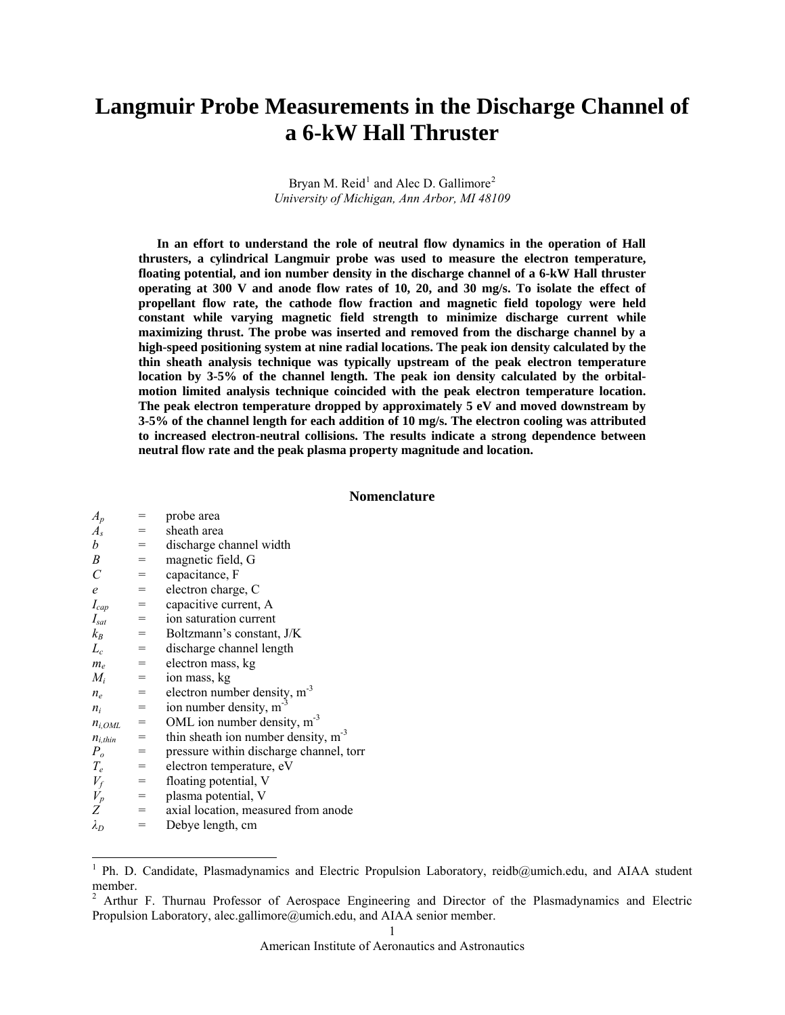# **Langmuir Probe Measurements in the Discharge Channel of a 6-kW Hall Thruster**

Bryan M. Reid<sup>[1](#page-0-0)</sup> and Alec D. Gallimore<sup>[2](#page-0-1)</sup> *University of Michigan, Ann Arbor, MI 48109* 

**In an effort to understand the role of neutral flow dynamics in the operation of Hall thrusters, a cylindrical Langmuir probe was used to measure the electron temperature, floating potential, and ion number density in the discharge channel of a 6-kW Hall thruster operating at 300 V and anode flow rates of 10, 20, and 30 mg/s. To isolate the effect of propellant flow rate, the cathode flow fraction and magnetic field topology were held constant while varying magnetic field strength to minimize discharge current while maximizing thrust. The probe was inserted and removed from the discharge channel by a high-speed positioning system at nine radial locations. The peak ion density calculated by the thin sheath analysis technique was typically upstream of the peak electron temperature location by 3-5% of the channel length. The peak ion density calculated by the orbitalmotion limited analysis technique coincided with the peak electron temperature location. The peak electron temperature dropped by approximately 5 eV and moved downstream by 3-5% of the channel length for each addition of 10 mg/s. The electron cooling was attributed to increased electron-neutral collisions. The results indicate a strong dependence between neutral flow rate and the peak plasma property magnitude and location.** 

## **Nomenclature**

| $A_p$                                          | $=$                                 | probe area                               |
|------------------------------------------------|-------------------------------------|------------------------------------------|
| $A_{s}$                                        | $=$ $\qquad$                        | sheath area                              |
| b                                              | $=$                                 | discharge channel width                  |
| B                                              | $=$                                 | magnetic field, G                        |
| $\mathcal{C}_{0}^{(n)}$                        | $=$                                 | capacitance, F                           |
| $\epsilon$                                     | $=$                                 | electron charge, C                       |
| $I_{cap}$                                      | $=$                                 | capacitive current, A                    |
| $I_{\text{sat}}$                               | $=$                                 | ion saturation current                   |
| $k_B$                                          | $=$                                 | Boltzmann's constant, J/K                |
| $L_c$                                          | $=$                                 | discharge channel length                 |
| $m_e$                                          | $\hspace*{0.4em} = \hspace*{0.4em}$ | electron mass, kg                        |
| $M_i$                                          | $=$                                 | ion mass, kg                             |
| $n_e$                                          | $=$                                 | electron number density, $m^{-3}$        |
| $n_i$                                          | $=$                                 | ion number density, $m^{-3}$             |
| $n_{i,OML}$                                    | $=$                                 | OML ion number density, $m^{-3}$         |
| $n_{i,thin}$                                   | $=$                                 | thin sheath ion number density, $m^{-3}$ |
| $P_o$                                          | $=$                                 | pressure within discharge channel, torr  |
| $T_e$                                          | $=$                                 | electron temperature, eV                 |
| $\begin{array}{c} V_f \\ V_p \\ Z \end{array}$ | $=$                                 | floating potential, V                    |
|                                                | $=$                                 | plasma potential, V                      |
|                                                | $=$                                 | axial location, measured from anode      |
| $\lambda_D$                                    | $=$                                 | Debye length, cm                         |

<span id="page-0-0"></span><sup>&</sup>lt;sup>1</sup> Ph. D. Candidate, Plasmadynamics and Electric Propulsion Laboratory, reidb@umich.edu, and AIAA student member.

<span id="page-0-1"></span><sup>&</sup>lt;sup>2</sup> Arthur F. Thurnau Professor of Aerospace Engineering and Director of the Plasmadynamics and Electric Propulsion Laboratory, alec.gallimore@umich.edu, and AIAA senior member.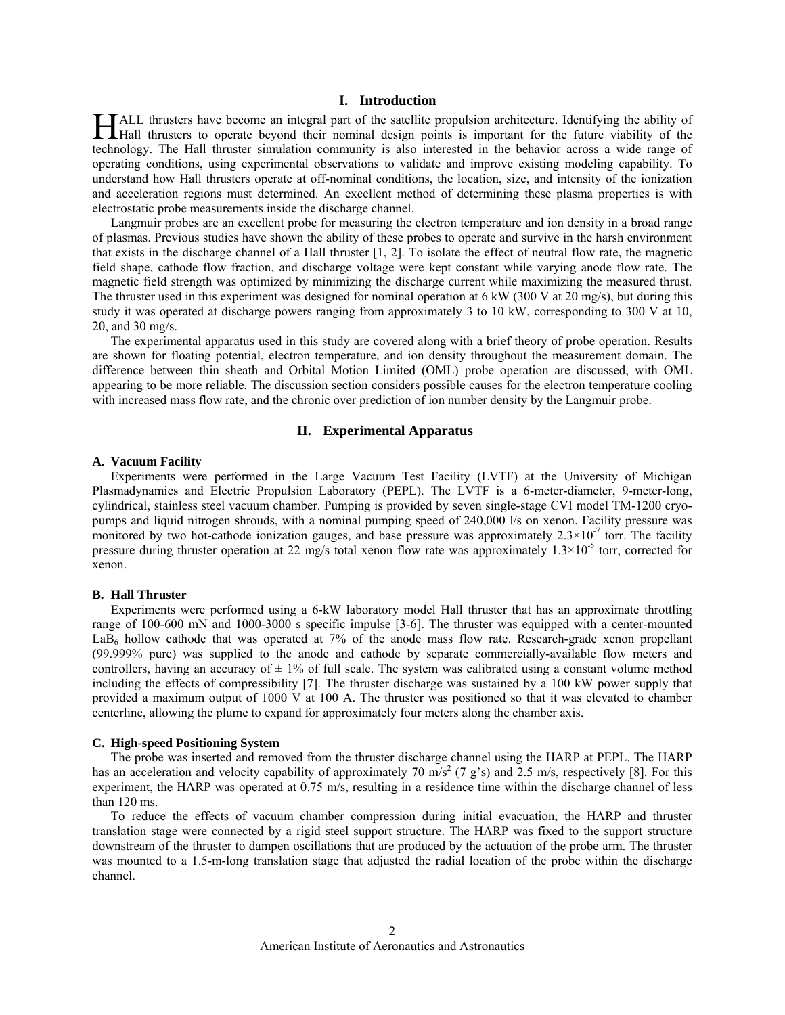# **I. Introduction**

ALL thrusters have become an integral part of the satellite propulsion architecture. Identifying the ability of Hall thrusters have become an integral part of the satellite propulsion architecture. Identifying the ability of the Hall thrusters to operate beyond their nominal design points is important for the future viability of the technology. The Hall thruster simulation community is also interested in the behavior across a wide range of operating conditions, using experimental observations to validate and improve existing modeling capability. To understand how Hall thrusters operate at off-nominal conditions, the location, size, and intensity of the ionization and acceleration regions must determined. An excellent method of determining these plasma properties is with electrostatic probe measurements inside the discharge channel.

Langmuir probes are an excellent probe for measuring the electron temperature and ion density in a broad range of plasmas. Previous studies have shown the ability of these probes to operate and survive in the harsh environment that exists in the discharge channel of a Hall thruster [1, 2]. To isolate the effect of neutral flow rate, the magnetic field shape, cathode flow fraction, and discharge voltage were kept constant while varying anode flow rate. The magnetic field strength was optimized by minimizing the discharge current while maximizing the measured thrust. The thruster used in this experiment was designed for nominal operation at 6 kW (300 V at 20 mg/s), but during this study it was operated at discharge powers ranging from approximately 3 to 10 kW, corresponding to 300 V at 10, 20, and 30 mg/s.

The experimental apparatus used in this study are covered along with a brief theory of probe operation. Results are shown for floating potential, electron temperature, and ion density throughout the measurement domain. The difference between thin sheath and Orbital Motion Limited (OML) probe operation are discussed, with OML appearing to be more reliable. The discussion section considers possible causes for the electron temperature cooling with increased mass flow rate, and the chronic over prediction of ion number density by the Langmuir probe.

# **II. Experimental Apparatus**

## <span id="page-1-0"></span>**A. Vacuum Facility**

Experiments were performed in the Large Vacuum Test Facility (LVTF) at the University of Michigan Plasmadynamics and Electric Propulsion Laboratory (PEPL). The LVTF is a 6-meter-diameter, 9-meter-long, cylindrical, stainless steel vacuum chamber. Pumping is provided by seven single-stage CVI model TM-1200 cryopumps and liquid nitrogen shrouds, with a nominal pumping speed of 240,000 l/s on xenon. Facility pressure was monitored by two hot-cathode ionization gauges, and base pressure was approximately  $2.3 \times 10^{-7}$  torr. The facility pressure during thruster operation at 22 mg/s total xenon flow rate was approximately  $1.3 \times 10^{-5}$  torr, corrected for xenon.

## **B. Hall Thruster**

Experiments were performed using a 6-kW laboratory model Hall thruster that has an approximate throttling range of 100-600 mN and 1000-3000 s specific impulse [3-6]. The thruster was equipped with a center-mounted LaB<sub>6</sub> hollow cathode that was operated at 7% of the anode mass flow rate. Research-grade xenon propellant (99.999% pure) was supplied to the anode and cathode by separate commercially-available flow meters and controllers, having an accuracy of  $\pm$  1% of full scale. The system was calibrated using a constant volume method including the effects of compressibility [7]. The thruster discharge was sustained by a 100 kW power supply that provided a maximum output of 1000 V at 100 A. The thruster was positioned so that it was elevated to chamber centerline, allowing the plume to expand for approximately four meters along the chamber axis.

#### **C. High-speed Positioning System**

The probe was inserted and removed from the thruster discharge channel using the HARP at PEPL. The HARP has an acceleration and velocity capability of approximately 70  $\text{m/s}^2$  (7 g's) and 2.5 m/s, respectively [8]. For this experiment, the HARP was operated at 0.75 m/s, resulting in a residence time within the discharge channel of less than 120 ms.

To reduce the effects of vacuum chamber compression during initial evacuation, the HARP and thruster translation stage were connected by a rigid steel support structure. The HARP was fixed to the support structure downstream of the thruster to dampen oscillations that are produced by the actuation of the probe arm. The thruster was mounted to a 1.5-m-long translation stage that adjusted the radial location of the probe within the discharge channel.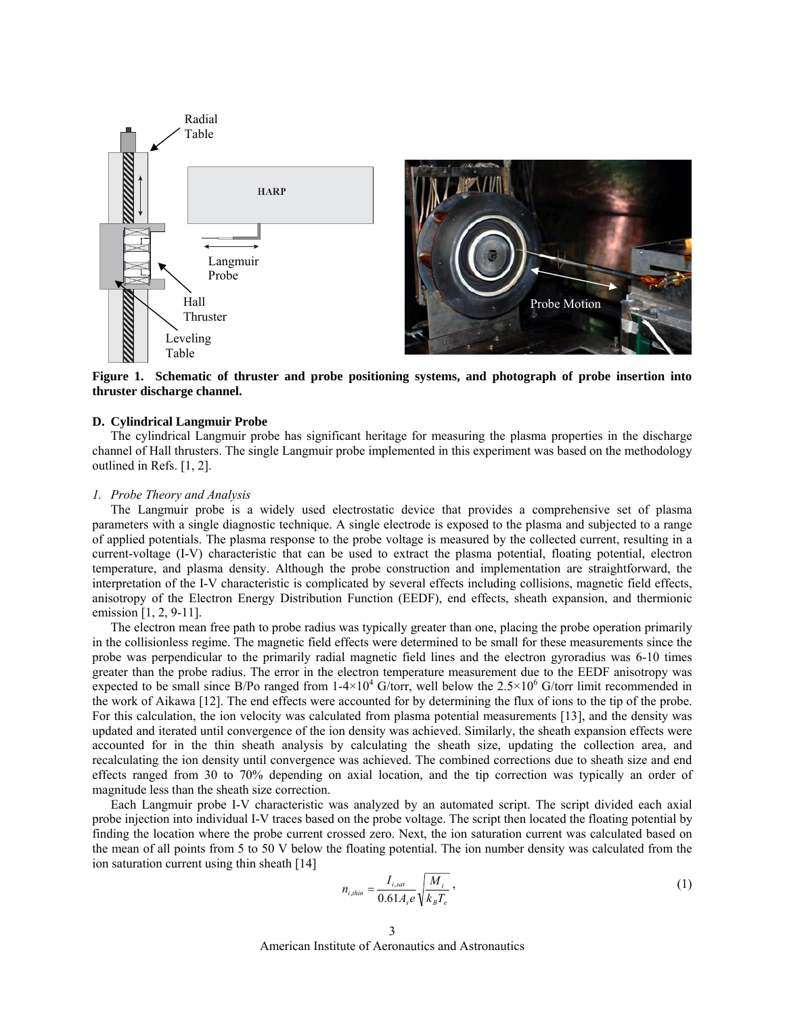

**Figure 1. Schematic of thruster and probe positioning systems, and photograph of probe insertion into thruster discharge channel.** 

# <span id="page-2-0"></span>**D. Cylindrical Langmuir Probe**

The cylindrical Langmuir probe has significant heritage for measuring the plasma properties in the discharge channel of Hall thrusters. The single Langmuir probe implemented in this experiment was based on the methodology outlined in Refs. [1, 2].

## *1. Probe Theory and Analysis*

The Langmuir probe is a widely used electrostatic device that provides a comprehensive set of plasma parameters with a single diagnostic technique. A single electrode is exposed to the plasma and subjected to a range of applied potentials. The plasma response to the probe voltage is measured by the collected current, resulting in a current-voltage (I-V) characteristic that can be used to extract the plasma potential, floating potential, electron temperature, and plasma density. Although the probe construction and implementation are straightforward, the interpretation of the I-V characteristic is complicated by several effects including collisions, magnetic field effects, anisotropy of the Electron Energy Distribution Function (EEDF), end effects, sheath expansion, and thermionic emission [1, 2, 9-11].

The electron mean free path to probe radius was typically greater than one, placing the probe operation primarily in the collisionless regime. The magnetic field effects were determined to be small for these measurements since the probe was perpendicular to the primarily radial magnetic field lines and the electron gyroradius was 6-10 times greater than the probe radius. The error in the electron temperature measurement due to the EEDF anisotropy was expected to be small since B/Po ranged from  $1-4\times10^4$  G/torr, well below the  $2.5\times10^6$  G/torr limit recommended in the work of Aikawa [12]. The end effects were accounted for by determining the flux of ions to the tip of the probe. For this calculation, the ion velocity was calculated from plasma potential measurements [13], and the density was updated and iterated until convergence of the ion density was achieved. Similarly, the sheath expansion effects were accounted for in the thin sheath analysis by calculating the sheath size, updating the collection area, and recalculating the ion density until convergence was achieved. The combined corrections due to sheath size and end effects ranged from 30 to 70% depending on axial location, and the tip correction was typically an order of magnitude less than the sheath size correction.

Each Langmuir probe I-V characteristic was analyzed by an automated script. The script divided each axial probe injection into individual I-V traces based on the probe voltage. The script then located the floating potential by finding the location where the probe current crossed zero. Next, the ion saturation current was calculated based on the mean of all points from 5 to 50 V below the floating potential. The ion number density was calculated from the ion saturation current using thin sheath [14]

$$
n_{i,thin} = \frac{I_{i,sat}}{0.61A_s e} \sqrt{\frac{M_i}{k_B T_e}},
$$
\n<sup>(1)</sup>

American Institute of Aeronautics and Astronautics 3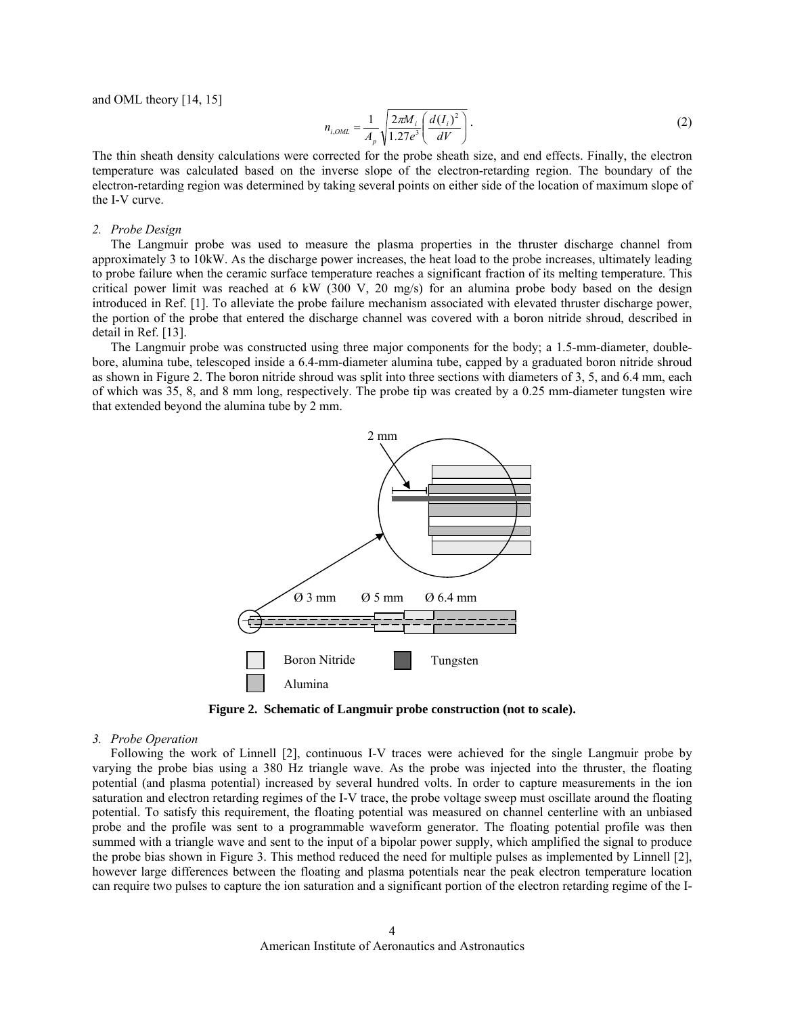and OML theory [14, 15]

$$
n_{i,OML} = \frac{1}{A_p} \sqrt{\frac{2\pi M_i}{1.27e^3} \left(\frac{d(I_i)^2}{dV}\right)}.
$$
 (2)

The thin sheath density calculations were corrected for the probe sheath size, and end effects. Finally, the electron temperature was calculated based on the inverse slope of the electron-retarding region. The boundary of the electron-retarding region was determined by taking several points on either side of the location of maximum slope of the I-V curve.

#### *2. Probe Design*

The Langmuir probe was used to measure the plasma properties in the thruster discharge channel from approximately 3 to 10kW. As the discharge power increases, the heat load to the probe increases, ultimately leading to probe failure when the ceramic surface temperature reaches a significant fraction of its melting temperature. This critical power limit was reached at 6 kW (300 V, 20 mg/s) for an alumina probe body based on the design introduced in Ref. [1]. To alleviate the probe failure mechanism associated with elevated thruster discharge power, the portion of the probe that entered the discharge channel was covered with a boron nitride shroud, described in detail in Ref. [13].

The Langmuir probe was constructed using three major components for the body; a 1.5-mm-diameter, doublebore, alumina tube, telescoped inside a 6.4-mm-diameter alumina tube, capped by a graduated boron nitride shroud as shown in [Figure 2.](#page-3-0) The boron nitride shroud was split into three sections with diameters of 3, 5, and 6.4 mm, each of which was 35, 8, and 8 mm long, respectively. The probe tip was created by a 0.25 mm-diameter tungsten wire that extended beyond the alumina tube by 2 mm.



**Figure 2. Schematic of Langmuir probe construction (not to scale).** 

# <span id="page-3-0"></span>*3. Probe Operation*

Following the work of Linnell [2], continuous I-V traces were achieved for the single Langmuir probe by varying the probe bias using a 380 Hz triangle wave. As the probe was injected into the thruster, the floating potential (and plasma potential) increased by several hundred volts. In order to capture measurements in the ion saturation and electron retarding regimes of the I-V trace, the probe voltage sweep must oscillate around the floating potential. To satisfy this requirement, the floating potential was measured on channel centerline with an unbiased probe and the profile was sent to a programmable waveform generator. The floating potential profile was then summed with a triangle wave and sent to the input of a bipolar power supply, which amplified the signal to produce the probe bias shown in [Figure 3.](#page-4-0) This method reduced the need for multiple pulses as implemented by Linnell [2], however large differences between the floating and plasma potentials near the peak electron temperature location can require two pulses to capture the ion saturation and a significant portion of the electron retarding regime of the I-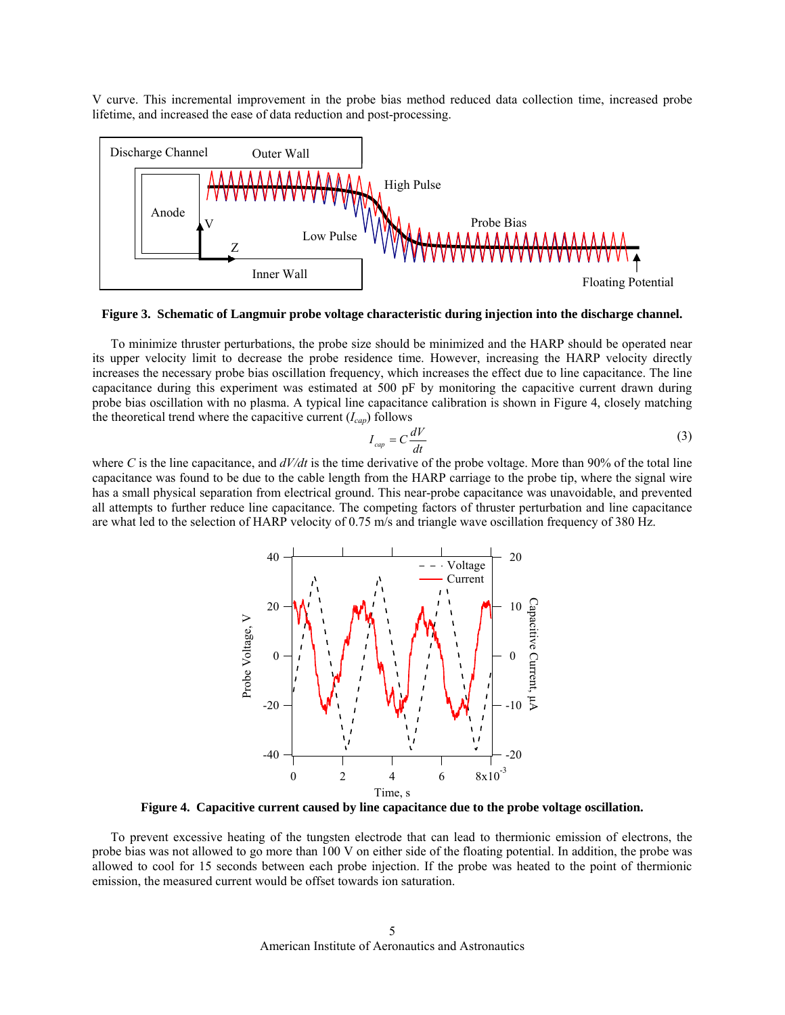V curve. This incremental improvement in the probe bias method reduced data collection time, increased probe lifetime, and increased the ease of data reduction and post-processing.



**Figure 3. Schematic of Langmuir probe voltage characteristic during injection into the discharge channel.** 

<span id="page-4-0"></span>To minimize thruster perturbations, the probe size should be minimized and the HARP should be operated near its upper velocity limit to decrease the probe residence time. However, increasing the HARP velocity directly increases the necessary probe bias oscillation frequency, which increases the effect due to line capacitance. The line capacitance during this experiment was estimated at 500 pF by monitoring the capacitive current drawn during probe bias oscillation with no plasma. A typical line capacitance calibration is shown in [Figure 4](#page-4-1), closely matching the theoretical trend where the capacitive current  $(I_{cap})$  follows

$$
I_{cap} = C \frac{dV}{dt} \tag{3}
$$

where *C* is the line capacitance, and *dV/dt* is the time derivative of the probe voltage. More than 90% of the total line capacitance was found to be due to the cable length from the HARP carriage to the probe tip, where the signal wire has a small physical separation from electrical ground. This near-probe capacitance was unavoidable, and prevented all attempts to further reduce line capacitance. The competing factors of thruster perturbation and line capacitance are what led to the selection of HARP velocity of 0.75 m/s and triangle wave oscillation frequency of 380 Hz.



**Figure 4. Capacitive current caused by line capacitance due to the probe voltage oscillation.** 

<span id="page-4-1"></span>To prevent excessive heating of the tungsten electrode that can lead to thermionic emission of electrons, the probe bias was not allowed to go more than 100 V on either side of the floating potential. In addition, the probe was allowed to cool for 15 seconds between each probe injection. If the probe was heated to the point of thermionic emission, the measured current would be offset towards ion saturation.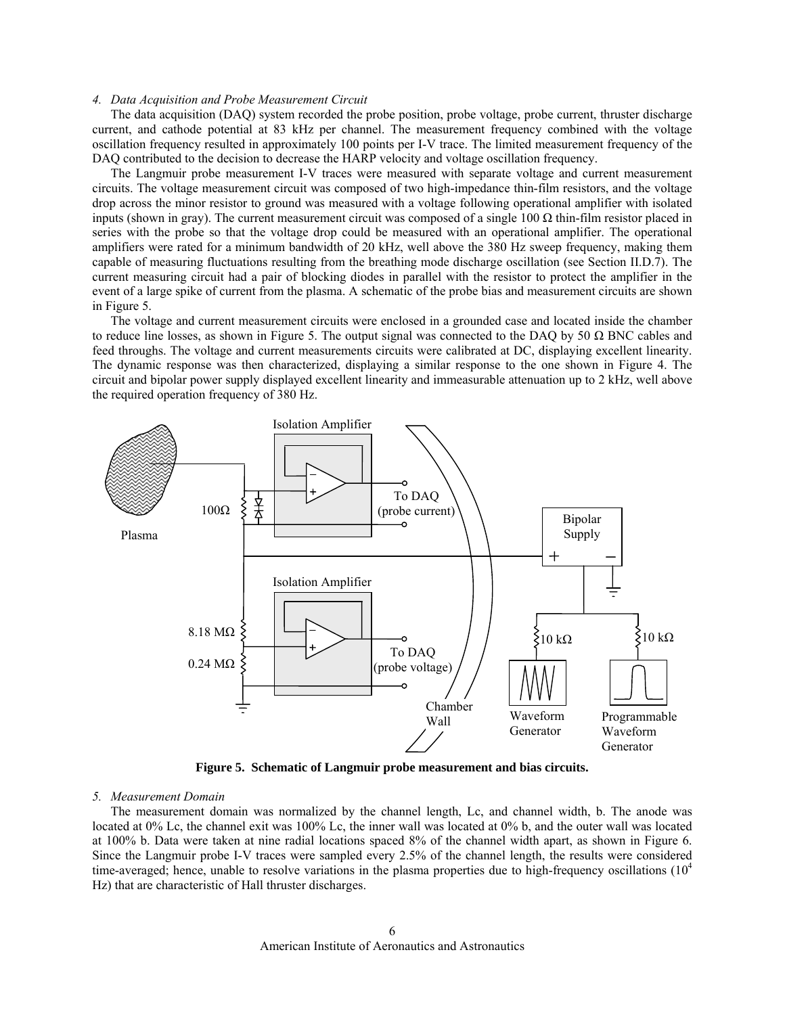## *4. Data Acquisition and Probe Measurement Circuit*

The data acquisition (DAQ) system recorded the probe position, probe voltage, probe current, thruster discharge current, and cathode potential at 83 kHz per channel. The measurement frequency combined with the voltage oscillation frequency resulted in approximately 100 points per I-V trace. The limited measurement frequency of the DAQ contributed to the decision to decrease the HARP velocity and voltage oscillation frequency.

The Langmuir probe measurement I-V traces were measured with separate voltage and current measurement circuits. The voltage measurement circuit was composed of two high-impedance thin-film resistors, and the voltage drop across the minor resistor to ground was measured with a voltage following operational amplifier with isolated inputs (shown in gray). The current measurement circuit was composed of a single 100  $\Omega$  thin-film resistor placed in series with the probe so that the voltage drop could be measured with an operational amplifier. The operational amplifiers were rated for a minimum bandwidth of 20 kHz, well above the 380 Hz sweep frequency, making them capable of measuring fluctuations resulting from the breathing mode discharge oscillation (see Section [II](#page-1-0).[D](#page-2-0).[7\)](#page-6-0). The current measuring circuit had a pair of blocking diodes in parallel with the resistor to protect the amplifier in the event of a large spike of current from the plasma. A schematic of the probe bias and measurement circuits are shown in [Figure 5.](#page-5-0)

The voltage and current measurement circuits were enclosed in a grounded case and located inside the chamber to reduce line losses, as shown in [Figure 5](#page-5-0). The output signal was connected to the DAQ by 50  $\Omega$  BNC cables and feed throughs. The voltage and current measurements circuits were calibrated at DC, displaying excellent linearity. The dynamic response was then characterized, displaying a similar response to the one shown in [Figure 4.](#page-4-1) The circuit and bipolar power supply displayed excellent linearity and immeasurable attenuation up to 2 kHz, well above the required operation frequency of 380 Hz.



**Figure 5. Schematic of Langmuir probe measurement and bias circuits.** 

## <span id="page-5-0"></span>*5. Measurement Domain*

The measurement domain was normalized by the channel length, Lc, and channel width, b. The anode was located at 0% Lc, the channel exit was 100% Lc, the inner wall was located at 0% b, and the outer wall was located at 100% b. Data were taken at nine radial locations spaced 8% of the channel width apart, as shown in [Figure 6.](#page-6-1) Since the Langmuir probe I-V traces were sampled every 2.5% of the channel length, the results were considered time-averaged; hence, unable to resolve variations in the plasma properties due to high-frequency oscillations  $(10^4$ Hz) that are characteristic of Hall thruster discharges.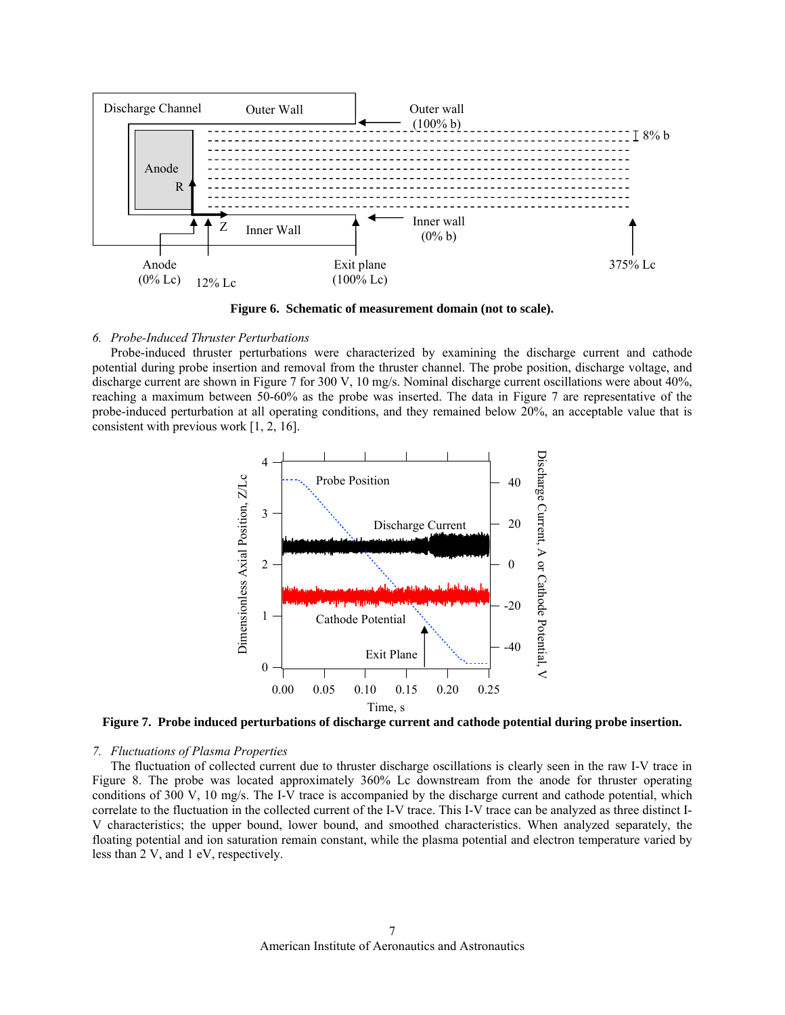

**Figure 6. Schematic of measurement domain (not to scale).** 

## <span id="page-6-1"></span>*6. Probe-Induced Thruster Perturbations*

Probe-induced thruster perturbations were characterized by examining the discharge current and cathode potential during probe insertion and removal from the thruster channel. The probe position, discharge voltage, and discharge current are shown in [Figure 7](#page-6-2) for 300 V, 10 mg/s. Nominal discharge current oscillations were about 40%, reaching a maximum between 50-60% as the probe was inserted. The data in [Figure 7](#page-6-2) are representative of the probe-induced perturbation at all operating conditions, and they remained below 20%, an acceptable value that is consistent with previous work [1, 2, 16].



**Figure 7. Probe induced perturbations of discharge current and cathode potential during probe insertion.** 

## <span id="page-6-2"></span><span id="page-6-0"></span>*7. Fluctuations of Plasma Properties*

The fluctuation of collected current due to thruster discharge oscillations is clearly seen in the raw I-V trace in [Figure 8](#page-7-0). The probe was located approximately 360% Lc downstream from the anode for thruster operating conditions of 300 V, 10 mg/s. The I-V trace is accompanied by the discharge current and cathode potential, which correlate to the fluctuation in the collected current of the I-V trace. This I-V trace can be analyzed as three distinct I-V characteristics; the upper bound, lower bound, and smoothed characteristics. When analyzed separately, the floating potential and ion saturation remain constant, while the plasma potential and electron temperature varied by less than 2 V, and 1 eV, respectively.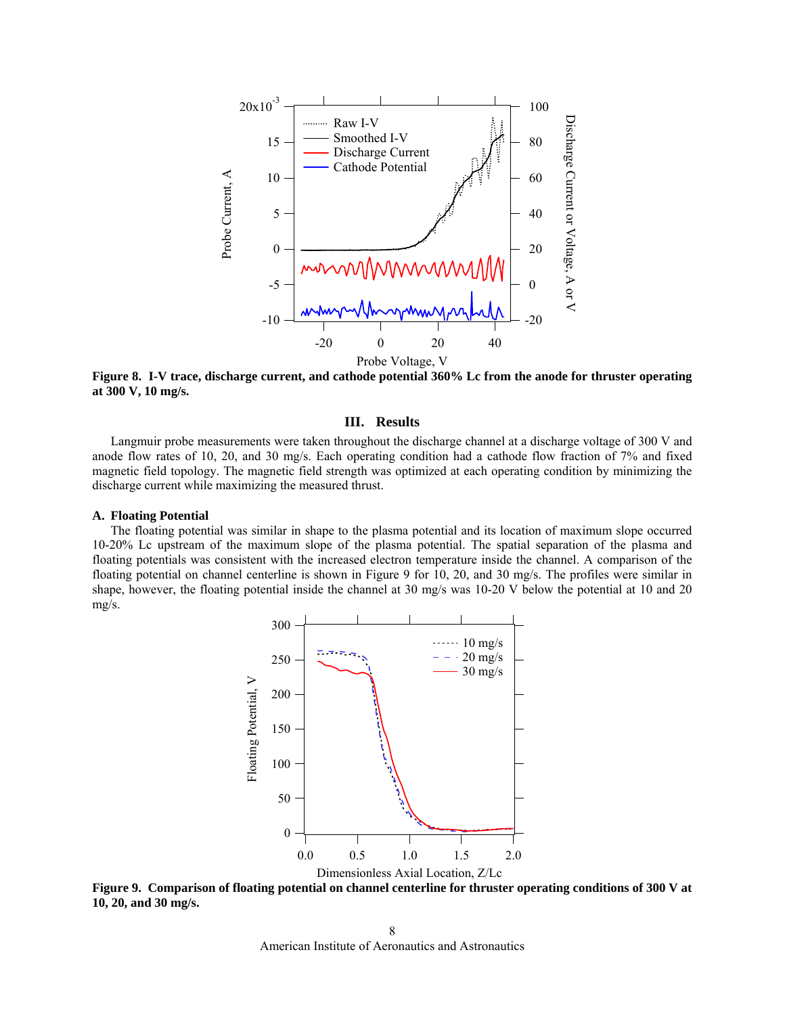

<span id="page-7-0"></span>**Figure 8. I-V trace, discharge current, and cathode potential 360% Lc from the anode for thruster operating at 300 V, 10 mg/s.** 

# **III. Results**

Langmuir probe measurements were taken throughout the discharge channel at a discharge voltage of 300 V and anode flow rates of 10, 20, and 30 mg/s. Each operating condition had a cathode flow fraction of 7% and fixed magnetic field topology. The magnetic field strength was optimized at each operating condition by minimizing the discharge current while maximizing the measured thrust.

# **A. Floating Potential**

The floating potential was similar in shape to the plasma potential and its location of maximum slope occurred 10-20% Lc upstream of the maximum slope of the plasma potential. The spatial separation of the plasma and floating potentials was consistent with the increased electron temperature inside the channel. A comparison of the floating potential on channel centerline is shown in [Figure 9](#page-7-1) for 10, 20, and 30 mg/s. The profiles were similar in shape, however, the floating potential inside the channel at 30 mg/s was 10-20 V below the potential at 10 and 20 mg/s.



<span id="page-7-1"></span>**Figure 9. Comparison of floating potential on channel centerline for thruster operating conditions of 300 V at 10, 20, and 30 mg/s.** 

American Institute of Aeronautics and Astronautics 8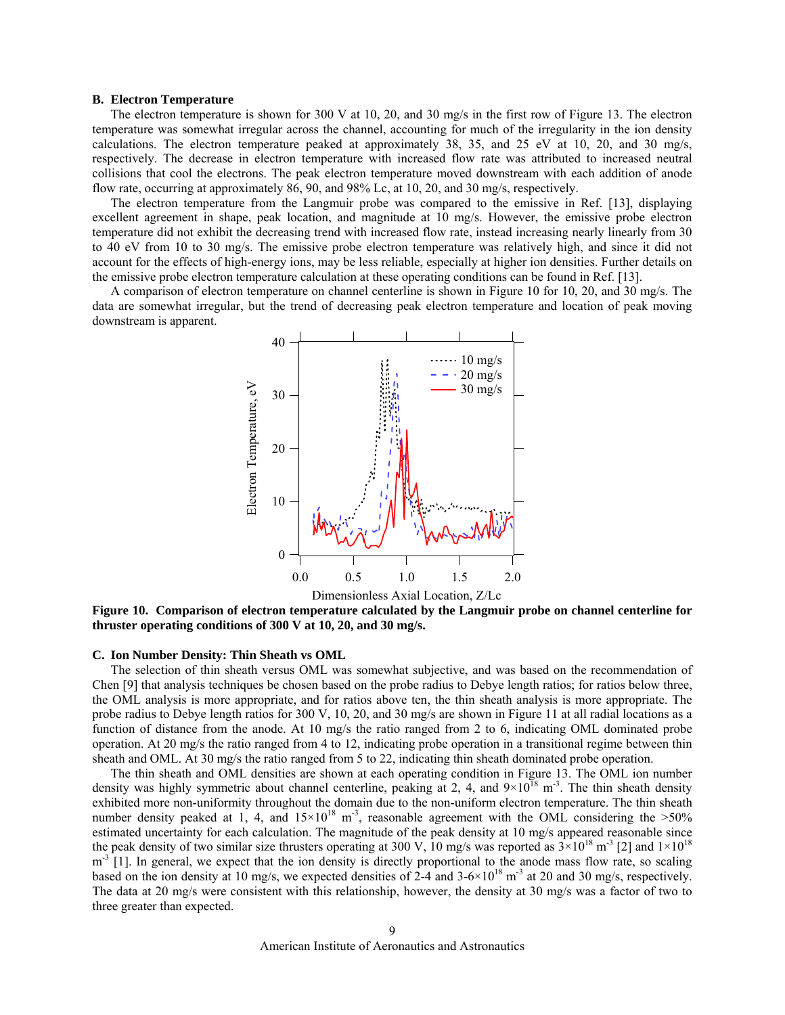## **B. Electron Temperature**

The electron temperature is shown for 300 V at 10, 20, and 30 mg/s in the first row of [Figure 13](#page-10-0). The electron temperature was somewhat irregular across the channel, accounting for much of the irregularity in the ion density calculations. The electron temperature peaked at approximately 38, 35, and 25 eV at 10, 20, and 30 mg/s, respectively. The decrease in electron temperature with increased flow rate was attributed to increased neutral collisions that cool the electrons. The peak electron temperature moved downstream with each addition of anode flow rate, occurring at approximately 86, 90, and 98% Lc, at 10, 20, and 30 mg/s, respectively.

The electron temperature from the Langmuir probe was compared to the emissive in Ref. [13], displaying excellent agreement in shape, peak location, and magnitude at 10 mg/s. However, the emissive probe electron temperature did not exhibit the decreasing trend with increased flow rate, instead increasing nearly linearly from 30 to 40 eV from 10 to 30 mg/s. The emissive probe electron temperature was relatively high, and since it did not account for the effects of high-energy ions, may be less reliable, especially at higher ion densities. Further details on the emissive probe electron temperature calculation at these operating conditions can be found in Ref. [13].

A comparison of electron temperature on channel centerline is shown in [Figure 10](#page-8-0) for 10, 20, and 30 mg/s. The data are somewhat irregular, but the trend of decreasing peak electron temperature and location of peak moving downstream is apparent.



<span id="page-8-0"></span>**Figure 10. Comparison of electron temperature calculated by the Langmuir probe on channel centerline for thruster operating conditions of 300 V at 10, 20, and 30 mg/s.** 

### **C. Ion Number Density: Thin Sheath vs OML**

The selection of thin sheath versus OML was somewhat subjective, and was based on the recommendation of Chen [9] that analysis techniques be chosen based on the probe radius to Debye length ratios; for ratios below three, the OML analysis is more appropriate, and for ratios above ten, the thin sheath analysis is more appropriate. The probe radius to Debye length ratios for 300 V, 10, 20, and 30 mg/s are shown in [Figure 11](#page-9-0) at all radial locations as a function of distance from the anode. At 10 mg/s the ratio ranged from 2 to 6, indicating OML dominated probe operation. At 20 mg/s the ratio ranged from 4 to 12, indicating probe operation in a transitional regime between thin sheath and OML. At 30 mg/s the ratio ranged from 5 to 22, indicating thin sheath dominated probe operation.

The thin sheath and OML densities are shown at each operating condition in [Figure 13](#page-10-0). The OML ion number density was highly symmetric about channel centerline, peaking at 2, 4, and  $9\times10^{18}$  m<sup>-3</sup>. The thin sheath density exhibited more non-uniformity throughout the domain due to the non-uniform electron temperature. The thin sheath number density peaked at 1, 4, and  $15\times10^{18}$  m<sup>-3</sup>, reasonable agreement with the OML considering the  $>50\%$ estimated uncertainty for each calculation. The magnitude of the peak density at 10 mg/s appeared reasonable since the peak density of two similar size thrusters operating at 300 V, 10 mg/s was reported as  $3\times10^{18}$  m<sup>-3</sup> [2] and  $1\times10^{18}$  $m<sup>-3</sup>$  [1]. In general, we expect that the ion density is directly proportional to the anode mass flow rate, so scaling based on the ion density at 10 mg/s, we expected densities of  $2-4$  and  $3-6\times10^{18}$  m<sup>-3</sup> at 20 and 30 mg/s, respectively. The data at 20 mg/s were consistent with this relationship, however, the density at 30 mg/s was a factor of two to three greater than expected.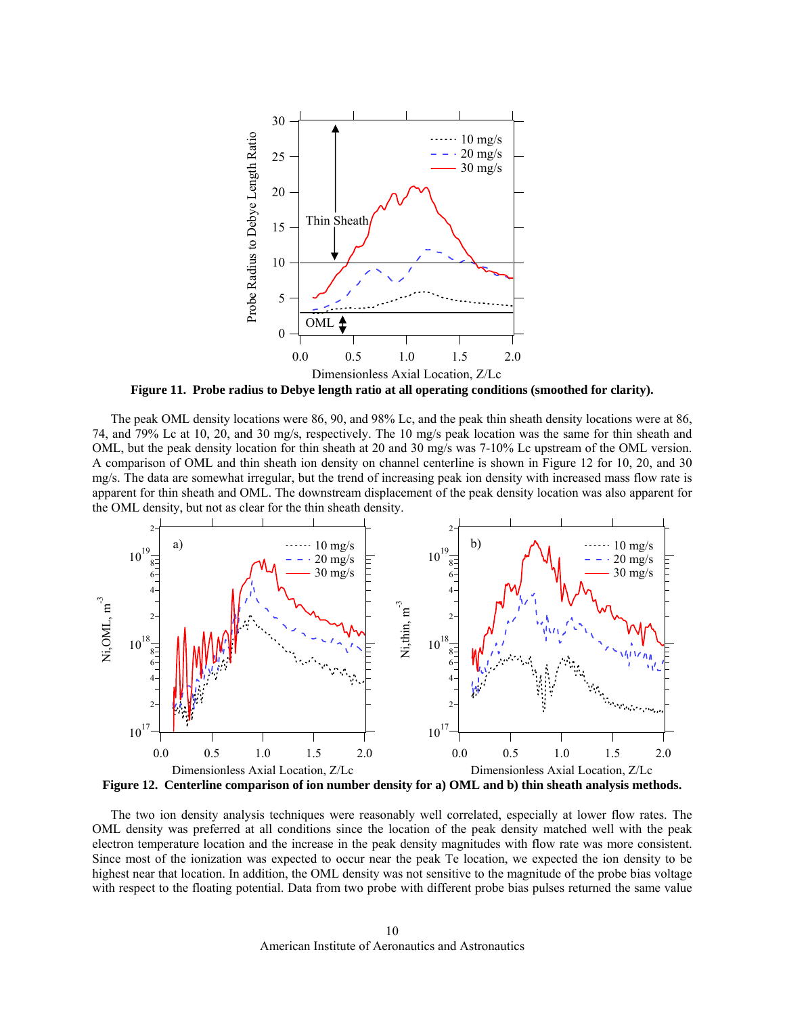

**Figure 11. Probe radius to Debye length ratio at all operating conditions (smoothed for clarity).** 

<span id="page-9-0"></span>The peak OML density locations were 86, 90, and 98% Lc, and the peak thin sheath density locations were at 86, 74, and 79% Lc at 10, 20, and 30 mg/s, respectively. The 10 mg/s peak location was the same for thin sheath and OML, but the peak density location for thin sheath at 20 and 30 mg/s was 7-10% Lc upstream of the OML version. A comparison of OML and thin sheath ion density on channel centerline is shown in [Figure 12](#page-9-1) for 10, 20, and 30 mg/s. The data are somewhat irregular, but the trend of increasing peak ion density with increased mass flow rate is apparent for thin sheath and OML. The downstream displacement of the peak density location was also apparent for the OML density, but not as clear for the thin sheath density.



<span id="page-9-1"></span>The two ion density analysis techniques were reasonably well correlated, especially at lower flow rates. The OML density was preferred at all conditions since the location of the peak density matched well with the peak electron temperature location and the increase in the peak density magnitudes with flow rate was more consistent. Since most of the ionization was expected to occur near the peak Te location, we expected the ion density to be highest near that location. In addition, the OML density was not sensitive to the magnitude of the probe bias voltage with respect to the floating potential. Data from two probe with different probe bias pulses returned the same value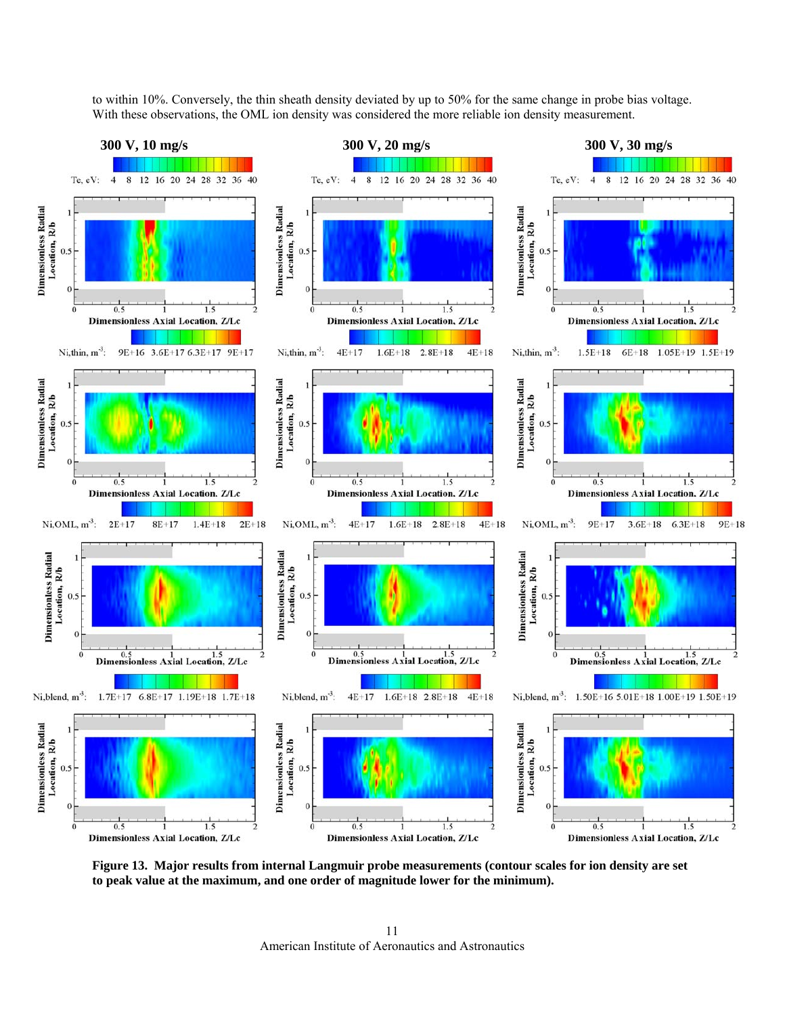

to within 10%. Conversely, the thin sheath density deviated by up to 50% for the same change in probe bias voltage. With these observations, the OML ion density was considered the more reliable ion density measurement.

<span id="page-10-0"></span>**Figure 13. Major results from internal Langmuir probe measurements (contour scales for ion density are set to peak value at the maximum, and one order of magnitude lower for the minimum).**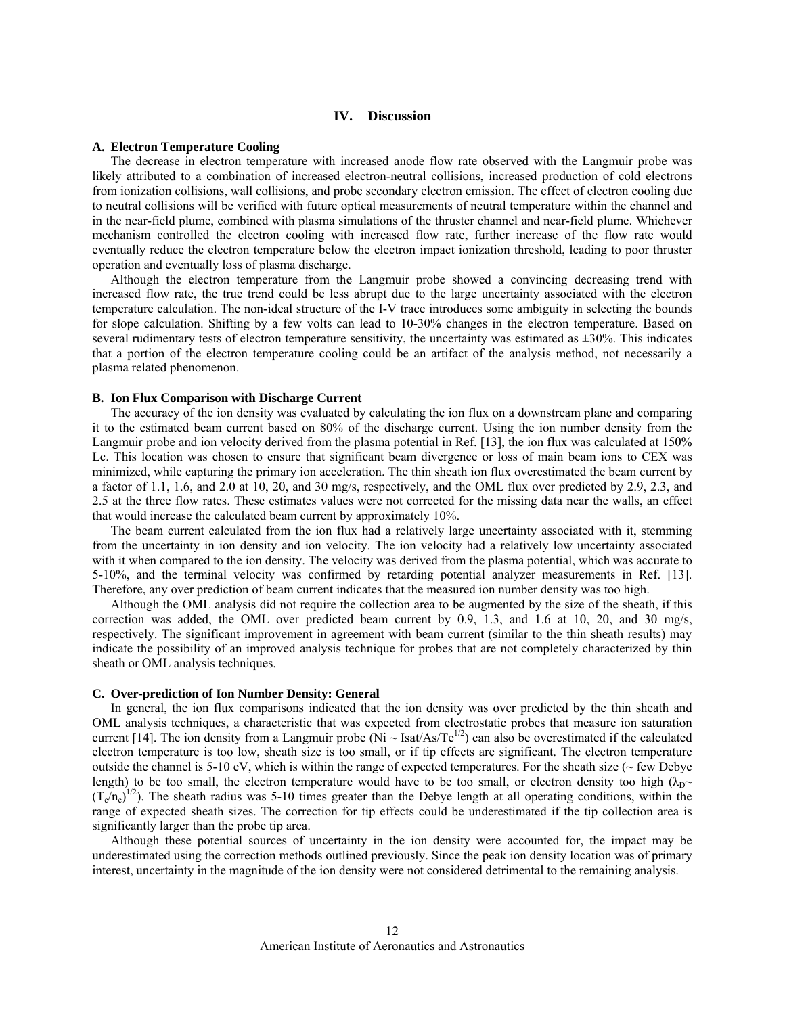# **IV. Discussion**

## **A. Electron Temperature Cooling**

The decrease in electron temperature with increased anode flow rate observed with the Langmuir probe was likely attributed to a combination of increased electron-neutral collisions, increased production of cold electrons from ionization collisions, wall collisions, and probe secondary electron emission. The effect of electron cooling due to neutral collisions will be verified with future optical measurements of neutral temperature within the channel and in the near-field plume, combined with plasma simulations of the thruster channel and near-field plume. Whichever mechanism controlled the electron cooling with increased flow rate, further increase of the flow rate would eventually reduce the electron temperature below the electron impact ionization threshold, leading to poor thruster operation and eventually loss of plasma discharge.

Although the electron temperature from the Langmuir probe showed a convincing decreasing trend with increased flow rate, the true trend could be less abrupt due to the large uncertainty associated with the electron temperature calculation. The non-ideal structure of the I-V trace introduces some ambiguity in selecting the bounds for slope calculation. Shifting by a few volts can lead to 10-30% changes in the electron temperature. Based on several rudimentary tests of electron temperature sensitivity, the uncertainty was estimated as  $\pm 30\%$ . This indicates that a portion of the electron temperature cooling could be an artifact of the analysis method, not necessarily a plasma related phenomenon.

## **B. Ion Flux Comparison with Discharge Current**

The accuracy of the ion density was evaluated by calculating the ion flux on a downstream plane and comparing it to the estimated beam current based on 80% of the discharge current. Using the ion number density from the Langmuir probe and ion velocity derived from the plasma potential in Ref. [13], the ion flux was calculated at 150% Lc. This location was chosen to ensure that significant beam divergence or loss of main beam ions to CEX was minimized, while capturing the primary ion acceleration. The thin sheath ion flux overestimated the beam current by a factor of 1.1, 1.6, and 2.0 at 10, 20, and 30 mg/s, respectively, and the OML flux over predicted by 2.9, 2.3, and 2.5 at the three flow rates. These estimates values were not corrected for the missing data near the walls, an effect that would increase the calculated beam current by approximately 10%.

The beam current calculated from the ion flux had a relatively large uncertainty associated with it, stemming from the uncertainty in ion density and ion velocity. The ion velocity had a relatively low uncertainty associated with it when compared to the ion density. The velocity was derived from the plasma potential, which was accurate to 5-10%, and the terminal velocity was confirmed by retarding potential analyzer measurements in Ref. [13]. Therefore, any over prediction of beam current indicates that the measured ion number density was too high.

Although the OML analysis did not require the collection area to be augmented by the size of the sheath, if this correction was added, the OML over predicted beam current by 0.9, 1.3, and 1.6 at 10, 20, and 30 mg/s, respectively. The significant improvement in agreement with beam current (similar to the thin sheath results) may indicate the possibility of an improved analysis technique for probes that are not completely characterized by thin sheath or OML analysis techniques.

#### **C. Over-prediction of Ion Number Density: General**

In general, the ion flux comparisons indicated that the ion density was over predicted by the thin sheath and OML analysis techniques, a characteristic that was expected from electrostatic probes that measure ion saturation current [14]. The ion density from a Langmuir probe  $(Ni \sim Isat/As/Te^{1/2})$  can also be overestimated if the calculated electron temperature is too low, sheath size is too small, or if tip effects are significant. The electron temperature outside the channel is  $5-10$  eV, which is within the range of expected temperatures. For the sheath size ( $\sim$  few Debye length) to be too small, the electron temperature would have to be too small, or electron density too high ( $\lambda_D \sim$  $(T_e/n_e)^{1/2}$ ). The sheath radius was 5-10 times greater than the Debye length at all operating conditions, within the range of expected sheath sizes. The correction for tip effects could be underestimated if the tip collection area is significantly larger than the probe tip area.

Although these potential sources of uncertainty in the ion density were accounted for, the impact may be underestimated using the correction methods outlined previously. Since the peak ion density location was of primary interest, uncertainty in the magnitude of the ion density were not considered detrimental to the remaining analysis.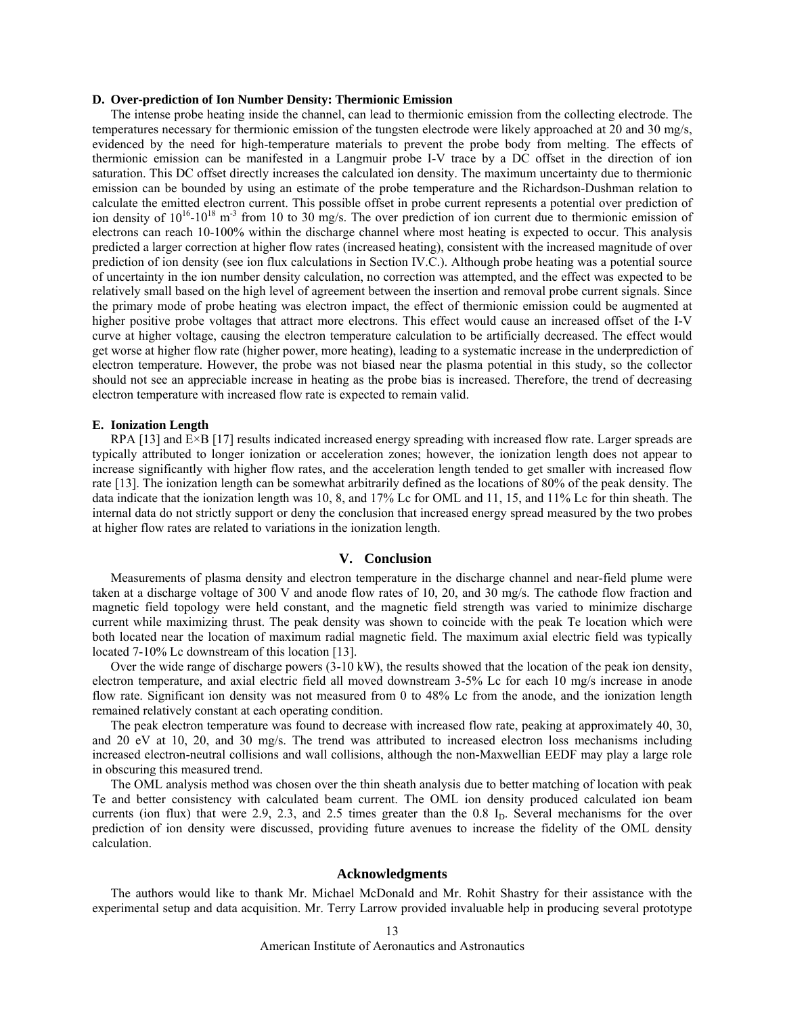## **D. Over-prediction of Ion Number Density: Thermionic Emission**

The intense probe heating inside the channel, can lead to thermionic emission from the collecting electrode. The temperatures necessary for thermionic emission of the tungsten electrode were likely approached at 20 and 30 mg/s, evidenced by the need for high-temperature materials to prevent the probe body from melting. The effects of thermionic emission can be manifested in a Langmuir probe I-V trace by a DC offset in the direction of ion saturation. This DC offset directly increases the calculated ion density. The maximum uncertainty due to thermionic emission can be bounded by using an estimate of the probe temperature and the Richardson-Dushman relation to calculate the emitted electron current. This possible offset in probe current represents a potential over prediction of ion density of  $10^{16}$ - $10^{18}$  m<sup>-3</sup> from 10 to 30 mg/s. The over prediction of ion current due to thermionic emission of electrons can reach 10-100% within the discharge channel where most heating is expected to occur. This analysis predicted a larger correction at higher flow rates (increased heating), consistent with the increased magnitude of over prediction of ion density (see ion flux calculations in Section IV.C.). Although probe heating was a potential source of uncertainty in the ion number density calculation, no correction was attempted, and the effect was expected to be relatively small based on the high level of agreement between the insertion and removal probe current signals. Since the primary mode of probe heating was electron impact, the effect of thermionic emission could be augmented at higher positive probe voltages that attract more electrons. This effect would cause an increased offset of the I-V curve at higher voltage, causing the electron temperature calculation to be artificially decreased. The effect would get worse at higher flow rate (higher power, more heating), leading to a systematic increase in the underprediction of electron temperature. However, the probe was not biased near the plasma potential in this study, so the collector should not see an appreciable increase in heating as the probe bias is increased. Therefore, the trend of decreasing electron temperature with increased flow rate is expected to remain valid.

# **E. Ionization Length**

RPA [13] and E×B [17] results indicated increased energy spreading with increased flow rate. Larger spreads are typically attributed to longer ionization or acceleration zones; however, the ionization length does not appear to increase significantly with higher flow rates, and the acceleration length tended to get smaller with increased flow rate [13]. The ionization length can be somewhat arbitrarily defined as the locations of 80% of the peak density. The data indicate that the ionization length was 10, 8, and 17% Lc for OML and 11, 15, and 11% Lc for thin sheath. The internal data do not strictly support or deny the conclusion that increased energy spread measured by the two probes at higher flow rates are related to variations in the ionization length.

# **V. Conclusion**

Measurements of plasma density and electron temperature in the discharge channel and near-field plume were taken at a discharge voltage of 300 V and anode flow rates of 10, 20, and 30 mg/s. The cathode flow fraction and magnetic field topology were held constant, and the magnetic field strength was varied to minimize discharge current while maximizing thrust. The peak density was shown to coincide with the peak Te location which were both located near the location of maximum radial magnetic field. The maximum axial electric field was typically located 7-10% Lc downstream of this location [13].

Over the wide range of discharge powers (3-10 kW), the results showed that the location of the peak ion density, electron temperature, and axial electric field all moved downstream 3-5% Lc for each 10 mg/s increase in anode flow rate. Significant ion density was not measured from 0 to 48% Lc from the anode, and the ionization length remained relatively constant at each operating condition.

The peak electron temperature was found to decrease with increased flow rate, peaking at approximately 40, 30, and 20 eV at 10, 20, and 30 mg/s. The trend was attributed to increased electron loss mechanisms including increased electron-neutral collisions and wall collisions, although the non-Maxwellian EEDF may play a large role in obscuring this measured trend.

The OML analysis method was chosen over the thin sheath analysis due to better matching of location with peak Te and better consistency with calculated beam current. The OML ion density produced calculated ion beam currents (ion flux) that were  $2.9$ ,  $2.3$ , and  $2.5$  times greater than the 0.8 I<sub>D</sub>. Several mechanisms for the over prediction of ion density were discussed, providing future avenues to increase the fidelity of the OML density calculation.

## **Acknowledgments**

The authors would like to thank Mr. Michael McDonald and Mr. Rohit Shastry for their assistance with the experimental setup and data acquisition. Mr. Terry Larrow provided invaluable help in producing several prototype

American Institute of Aeronautics and Astronautics